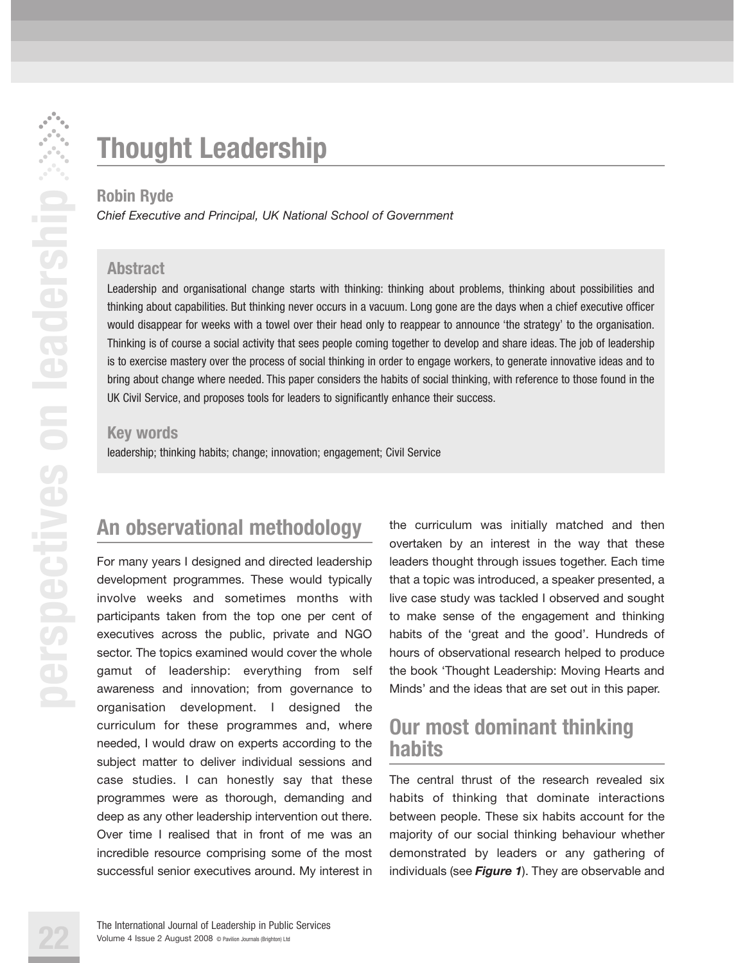#### **Robin Ryde**

*Chief Executive and Principal, UK National School of Government*

#### **Abstract**

Leadership and organisational change starts with thinking: thinking about problems, thinking about possibilities and thinking about capabilities. But thinking never occurs in a vacuum. Long gone are the days when a chief executive officer would disappear for weeks with a towel over their head only to reappear to announce 'the strategy' to the organisation. Thinking is of course a social activity that sees people coming together to develop and share ideas. The job of leadership is to exercise mastery over the process of social thinking in order to engage workers, to generate innovative ideas and to bring about change where needed. This paper considers the habits of social thinking, with reference to those found in the UK Civil Service, and proposes tools for leaders to significantly enhance their success.

#### **Key words**

leadership; thinking habits; change; innovation; engagement; Civil Service

# **An observational methodology**

The International of Leadership in the United Services Control of Network Channel Channel Channel Channel Channel Channel Channel Channel Channel Channel Channel Channel Side of Leadership; thinking habits; channel; have a For many years I designed and directed leadership development programmes. These would typically involve weeks and sometimes months with participants taken from the top one per cent of executives across the public, private and NGO sector. The topics examined would cover the whole gamut of leadership: everything from self awareness and innovation; from governance to organisation development. I designed the curriculum for these programmes and, where needed, I would draw on experts according to the subject matter to deliver individual sessions and case studies. I can honestly say that these programmes were as thorough, demanding and deep as any other leadership intervention out there. Over time I realised that in front of me was an incredible resource comprising some of the most successful senior executives around. My interest in

the curriculum was initially matched and then overtaken by an interest in the way that these leaders thought through issues together. Each time that a topic was introduced, a speaker presented, a live case study was tackled I observed and sought to make sense of the engagement and thinking habits of the 'great and the good'. Hundreds of hours of observational research helped to produce the book 'Thought Leadership: Moving Hearts and Minds' and the ideas that are set out in this paper.

## **Our most dominant thinking habits**

The central thrust of the research revealed six habits of thinking that dominate interactions between people. These six habits account for the majority of our social thinking behaviour whether demonstrated by leaders or any gathering of individuals (see *Figure 1*). They are observable and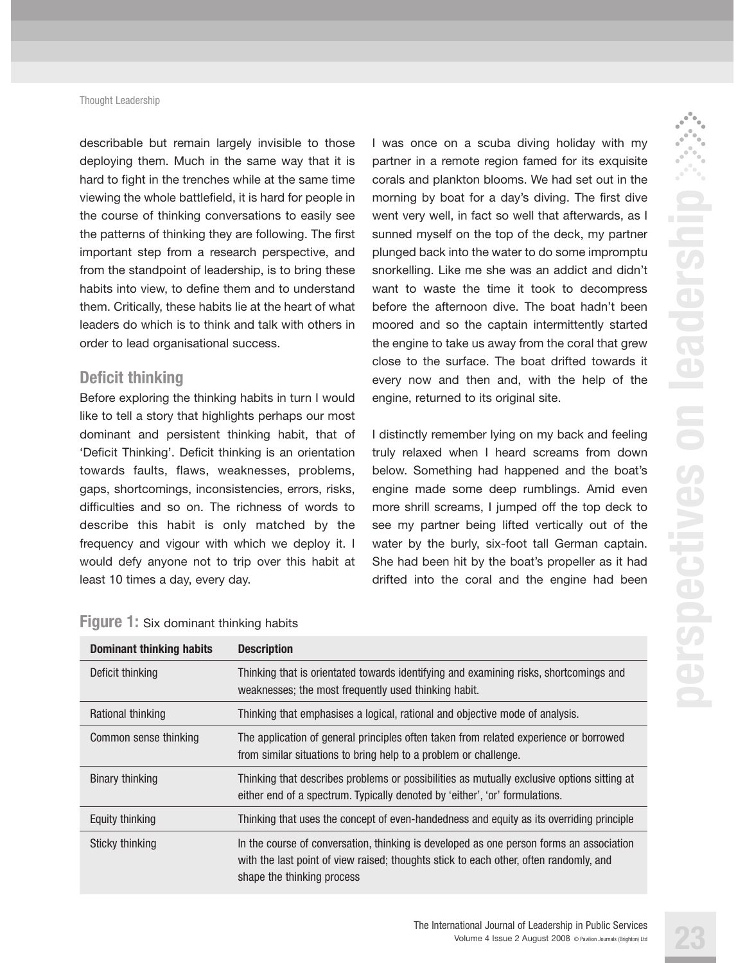describable but remain largely invisible to those deploying them. Much in the same way that it is hard to fight in the trenches while at the same time viewing the whole battlefield, it is hard for people in the course of thinking conversations to easily see the patterns of thinking they are following. The first important step from a research perspective, and from the standpoint of leadership, is to bring these habits into view, to define them and to understand them. Critically, these habits lie at the heart of what leaders do which is to think and talk with others in order to lead organisational success.

#### **Deficit thinking**

Before exploring the thinking habits in turn I would like to tell a story that highlights perhaps our most dominant and persistent thinking habit, that of 'Deficit Thinking'. Deficit thinking is an orientation towards faults, flaws, weaknesses, problems, gaps, shortcomings, inconsistencies, errors, risks, difficulties and so on. The richness of words to describe this habit is only matched by the frequency and vigour with which we deploy it. I would defy anyone not to trip over this habit at least 10 times a day, every day.

I was once on a scuba diving holiday with my partner in a remote region famed for its exquisite corals and plankton blooms. We had set out in the morning by boat for a day's diving. The first dive went very well, in fact so well that afterwards, as I sunned myself on the top of the deck, my partner plunged back into the water to do some impromptu snorkelling. Like me she was an addict and didn't want to waste the time it took to decompress before the afternoon dive. The boat hadn't been moored and so the captain intermittently started the engine to take us away from the coral that grew close to the surface. The boat drifted towards it every now and then and, with the help of the engine, returned to its original site.

I distinctly remember lying on my back and feeling truly relaxed when I heard screams from down below. Something had happened and the boat's engine made some deep rumblings. Amid even more shrill screams, I jumped off the top deck to see my partner being lifted vertically out of the water by the burly, six-foot tall German captain. She had been hit by the boat's propeller as it had drifted into the coral and the engine had been

| Dominant thinking habits | <b>Description</b>                                                                                                                                                                                             |
|--------------------------|----------------------------------------------------------------------------------------------------------------------------------------------------------------------------------------------------------------|
| Deficit thinking         | Thinking that is orientated towards identifying and examining risks, shortcomings and<br>weaknesses; the most frequently used thinking habit.                                                                  |
| Rational thinking        | Thinking that emphasises a logical, rational and objective mode of analysis.                                                                                                                                   |
| Common sense thinking    | The application of general principles often taken from related experience or borrowed<br>from similar situations to bring help to a problem or challenge.                                                      |
| Binary thinking          | Thinking that describes problems or possibilities as mutually exclusive options sitting at<br>either end of a spectrum. Typically denoted by 'either', 'or' formulations.                                      |
| Equity thinking          | Thinking that uses the concept of even-handedness and equity as its overriding principle                                                                                                                       |
| Sticky thinking          | In the course of conversation, thinking is developed as one person forms an association<br>with the last point of view raised; thoughts stick to each other, often randomly, and<br>shape the thinking process |

## **Figure 1:** Six dominant thinking habits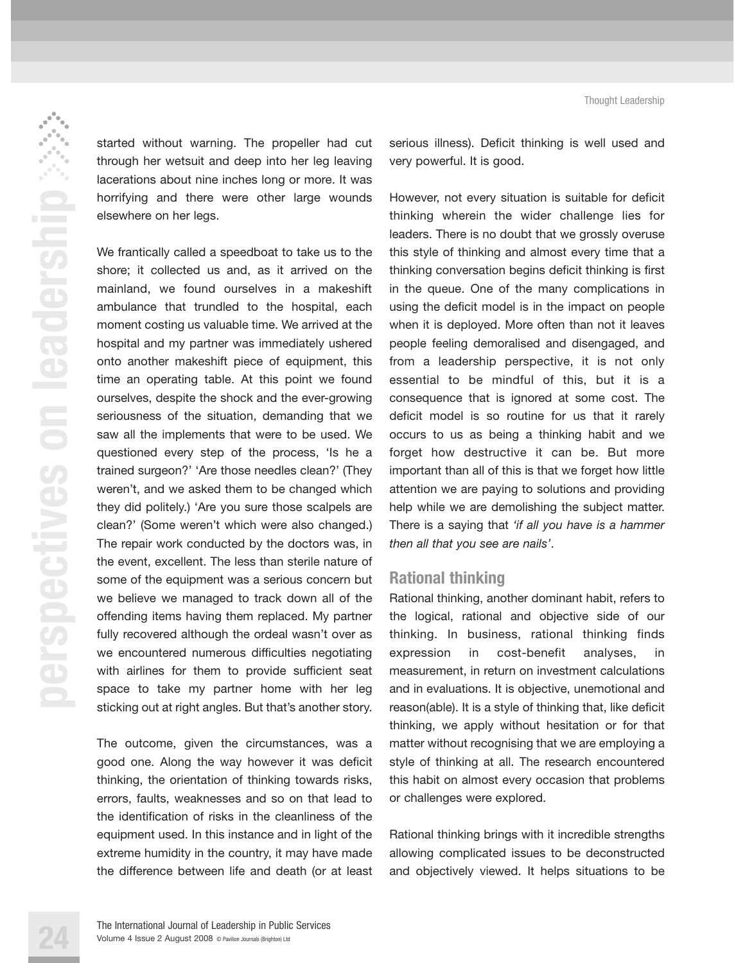started without warning. The propeller had cut through her wetsuit and deep into her leg leaving lacerations about nine inches long or more. It was horrifying and there were other large wounds elsewhere on her legs.

Norrifying and there were other large is elsewhere on her legs.<br>
We frantically called a speedboat to take ushore; it collects us and, as it arrowed mainland, we found ourselves in a manibulance that trundled to the hospit We frantically called a speedboat to take us to the shore; it collected us and, as it arrived on the mainland, we found ourselves in a makeshift ambulance that trundled to the hospital, each moment costing us valuable time. We arrived at the hospital and my partner was immediately ushered onto another makeshift piece of equipment, this time an operating table. At this point we found ourselves, despite the shock and the ever-growing seriousness of the situation, demanding that we saw all the implements that were to be used. We questioned every step of the process, 'Is he a trained surgeon?' 'Are those needles clean?' (They weren't, and we asked them to be changed which they did politely.) 'Are you sure those scalpels are clean?' (Some weren't which were also changed.) The repair work conducted by the doctors was, in the event, excellent. The less than sterile nature of some of the equipment was a serious concern but we believe we managed to track down all of the offending items having them replaced. My partner fully recovered although the ordeal wasn't over as we encountered numerous difficulties negotiating with airlines for them to provide sufficient seat space to take my partner home with her leg sticking out at right angles. But that's another story.

The outcome, given the circumstances, was a good one. Along the way however it was deficit thinking, the orientation of thinking towards risks, errors, faults, weaknesses and so on that lead to the identification of risks in the cleanliness of the equipment used. In this instance and in light of the extreme humidity in the country, it may have made the difference between life and death (or at least

serious illness). Deficit thinking is well used and very powerful. It is good.

However, not every situation is suitable for deficit thinking wherein the wider challenge lies for leaders. There is no doubt that we grossly overuse this style of thinking and almost every time that a thinking conversation begins deficit thinking is first in the queue. One of the many complications in using the deficit model is in the impact on people when it is deployed. More often than not it leaves people feeling demoralised and disengaged, and from a leadership perspective, it is not only essential to be mindful of this, but it is a consequence that is ignored at some cost. The deficit model is so routine for us that it rarely occurs to us as being a thinking habit and we forget how destructive it can be. But more important than all of this is that we forget how little attention we are paying to solutions and providing help while we are demolishing the subject matter. There is a saying that *'if all you have is a hammer then all that you see are nails'*.

#### **Rational thinking**

Rational thinking, another dominant habit, refers to the logical, rational and objective side of our thinking. In business, rational thinking finds expression in cost-benefit analyses, in measurement, in return on investment calculations and in evaluations. It is objective, unemotional and reason(able). It is a style of thinking that, like deficit thinking, we apply without hesitation or for that matter without recognising that we are employing a style of thinking at all. The research encountered this habit on almost every occasion that problems or challenges were explored.

Rational thinking brings with it incredible strengths allowing complicated issues to be deconstructed and objectively viewed. It helps situations to be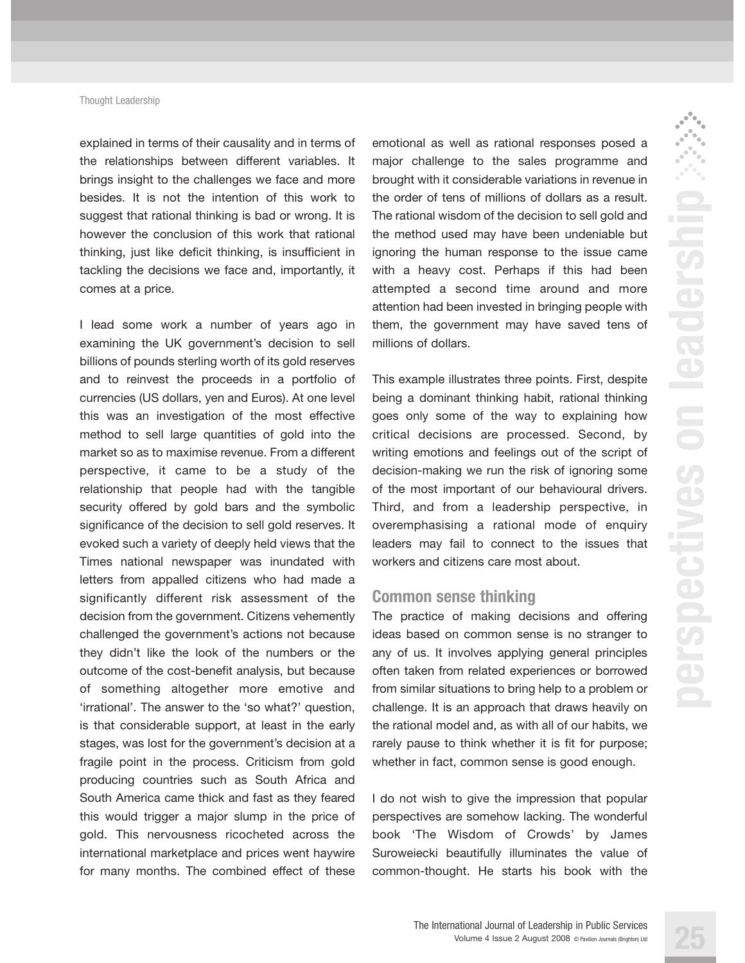explained in terms of their causality and in terms of the relationships between different variables. It brings insight to the challenges we face and more besides. It is not the intention of this work to suggest that rational thinking is bad or wrong. It is however the conclusion of this work that rational thinking, just like deficit thinking, is insufficient in tackling the decisions we face and, importantly, it comes at a price.

I lead some work a number of years ago in examining the UK government's decision to sell billions of pounds sterling worth of its gold reserves and to reinvest the proceeds in a portfolio of currencies (US dollars, yen and Euros). At one level this was an investigation of the most effective method to sell large quantities of gold into the market so as to maximise revenue. From a different perspective, it came to be a study of the relationship that people had with the tangible security offered by gold bars and the symbolic significance of the decision to sell gold reserves. It evoked such a variety of deeply held views that the Times national newspaper was inundated with letters from appalled citizens who had made a significantly different risk assessment of the decision from the government. Citizens vehemently challenged the government's actions not because they didn't like the look of the numbers or the outcome of the cost-benefit analysis, but because of something altogether more emotive and 'irrational'. The answer to the 'so what?' question, is that considerable support, at least in the early stages, was lost for the government's decision at a fragile point in the process. Criticism from gold producing countries such as South Africa and South America came thick and fast as they feared this would trigger a major slump in the price of gold. This nervousness ricocheted across the international marketplace and prices went haywire for many months. The combined effect of these

emotional as well as rational responses posed a major challenge to the sales programme and brought with it considerable variations in revenue in the order of tens of millions of dollars as a result. The rational wisdom of the decision to sell gold and the method used may have been undeniable but ignoring the human response to the issue came with a heavy cost. Perhaps if this had been attempted a second time around and more attention had been invested in bringing people with them, the government may have saved tens of millions of dollars.

This example illustrates three points. First, despite being a dominant thinking habit, rational thinking goes only some of the way to explaining how critical decisions are processed. Second, by writing emotions and feelings out of the script of decision-making we run the risk of ignoring some of the most important of our behavioural drivers. Third, and from a leadership perspective, in overemphasising a rational mode of enquiry leaders may fail to connect to the issues that workers and citizens care most about.

#### **Common sense thinking**

The practice of making decisions and offering ideas based on common sense is no stranger to any of us. It involves applying general principles often taken from related experiences or borrowed from similar situations to bring help to a problem or challenge. It is an approach that draws heavily on the rational model and, as with all of our habits, we rarely pause to think whether it is fit for purpose; whether in fact, common sense is good enough.

I do not wish to give the impression that popular perspectives are somehow lacking. The wonderful book 'The Wisdom of Crowds' by James Suroweiecki beautifully illuminates the value of common-thought. He starts his book with the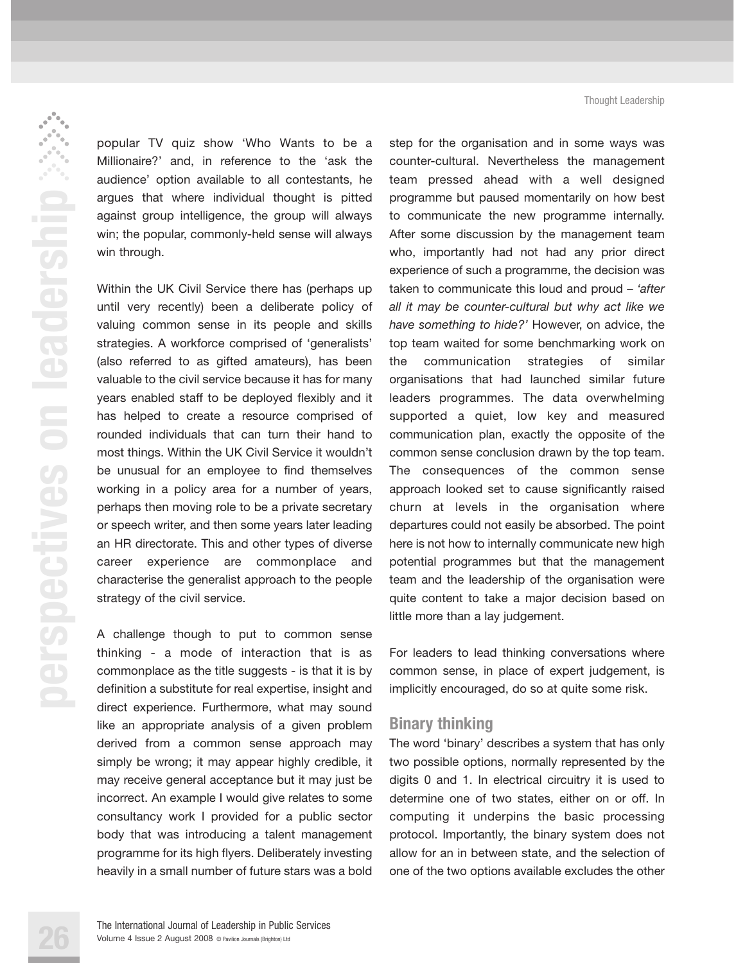popular TV quiz show 'Who Wants to be a Millionaire?' and, in reference to the 'ask the audience' option available to all contestants, he argues that where individual thought is pitted against group intelligence, the group will always win; the popular, commonly-held sense will always win through.

argues that where individual thought is<br>against group intelligence, the group will<br>win; the popular, commonly-held sense will<br>win through.<br>Within the UK Civil Service there has (perf<br>until very recently) been a deliberate Within the UK Civil Service there has (perhaps up until very recently) been a deliberate policy of valuing common sense in its people and skills strategies. A workforce comprised of 'generalists' (also referred to as gifted amateurs), has been valuable to the civil service because it has for many years enabled staff to be deployed flexibly and it has helped to create a resource comprised of rounded individuals that can turn their hand to most things. Within the UK Civil Service it wouldn't be unusual for an employee to find themselves working in a policy area for a number of years, perhaps then moving role to be a private secretary or speech writer, and then some years later leading an HR directorate. This and other types of diverse career experience are commonplace and characterise the generalist approach to the people strategy of the civil service.

A challenge though to put to common sense thinking - a mode of interaction that is as commonplace as the title suggests - is that it is by definition a substitute for real expertise, insight and direct experience. Furthermore, what may sound like an appropriate analysis of a given problem derived from a common sense approach may simply be wrong; it may appear highly credible, it may receive general acceptance but it may just be incorrect. An example I would give relates to some consultancy work I provided for a public sector body that was introducing a talent management programme for its high flyers. Deliberately investing heavily in a small number of future stars was a bold

Thought Leadership

step for the organisation and in some ways was counter-cultural. Nevertheless the management team pressed ahead with a well designed programme but paused momentarily on how best to communicate the new programme internally. After some discussion by the management team who, importantly had not had any prior direct experience of such a programme, the decision was taken to communicate this loud and proud – *'after all it may be counter-cultural but why act like we have something to hide?'* However, on advice, the top team waited for some benchmarking work on the communication strategies of similar organisations that had launched similar future leaders programmes. The data overwhelming supported a quiet, low key and measured communication plan, exactly the opposite of the common sense conclusion drawn by the top team. The consequences of the common sense approach looked set to cause significantly raised churn at levels in the organisation where departures could not easily be absorbed. The point here is not how to internally communicate new high potential programmes but that the management team and the leadership of the organisation were quite content to take a major decision based on little more than a lay judgement.

For leaders to lead thinking conversations where common sense, in place of expert judgement, is implicitly encouraged, do so at quite some risk.

#### **Binary thinking**

The word 'binary' describes a system that has only two possible options, normally represented by the digits 0 and 1. In electrical circuitry it is used to determine one of two states, either on or off. In computing it underpins the basic processing protocol. Importantly, the binary system does not allow for an in between state, and the selection of one of the two options available excludes the other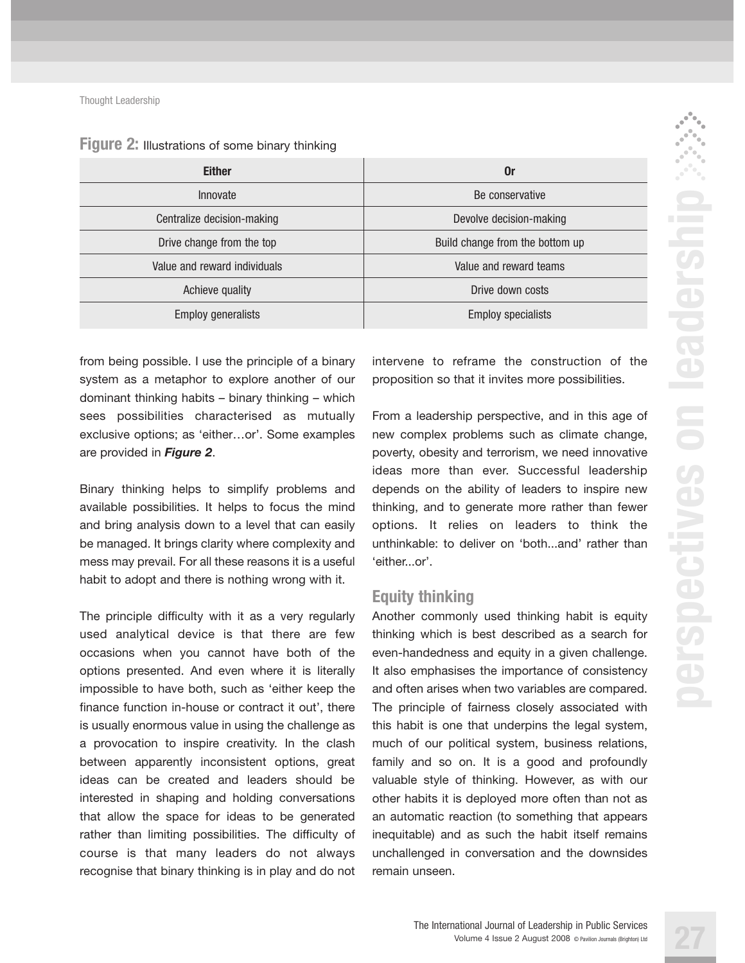|  | Figure 2: Illustrations of some binary thinking |
|--|-------------------------------------------------|
|--|-------------------------------------------------|

| <b>Either</b>                | 0r                              |  |
|------------------------------|---------------------------------|--|
| Innovate                     | Be conservative                 |  |
| Centralize decision-making   | Devolve decision-making         |  |
| Drive change from the top    | Build change from the bottom up |  |
| Value and reward individuals | Value and reward teams          |  |
| Achieve quality              | Drive down costs                |  |
| <b>Employ generalists</b>    | <b>Employ specialists</b>       |  |

from being possible. I use the principle of a binary system as a metaphor to explore another of our dominant thinking habits – binary thinking – which sees possibilities characterised as mutually exclusive options; as 'either…or'. Some examples are provided in *Figure 2*.

Binary thinking helps to simplify problems and available possibilities. It helps to focus the mind and bring analysis down to a level that can easily be managed. It brings clarity where complexity and mess may prevail. For all these reasons it is a useful habit to adopt and there is nothing wrong with it.

The principle difficulty with it as a very regularly used analytical device is that there are few occasions when you cannot have both of the options presented. And even where it is literally impossible to have both, such as 'either keep the finance function in-house or contract it out', there is usually enormous value in using the challenge as a provocation to inspire creativity. In the clash between apparently inconsistent options, great ideas can be created and leaders should be interested in shaping and holding conversations that allow the space for ideas to be generated rather than limiting possibilities. The difficulty of course is that many leaders do not always recognise that binary thinking is in play and do not intervene to reframe the construction of the proposition so that it invites more possibilities.

From a leadership perspective, and in this age of new complex problems such as climate change, poverty, obesity and terrorism, we need innovative ideas more than ever. Successful leadership depends on the ability of leaders to inspire new thinking, and to generate more rather than fewer options. It relies on leaders to think the unthinkable: to deliver on 'both...and' rather than 'either...or'.

## **Equity thinking**

Another commonly used thinking habit is equity thinking which is best described as a search for even-handedness and equity in a given challenge. It also emphasises the importance of consistency and often arises when two variables are compared. The principle of fairness closely associated with this habit is one that underpins the legal system, much of our political system, business relations, family and so on. It is a good and profoundly valuable style of thinking. However, as with our other habits it is deployed more often than not as an automatic reaction (to something that appears inequitable) and as such the habit itself remains unchallenged in conversation and the downsides remain unseen.

 $\overline{a}$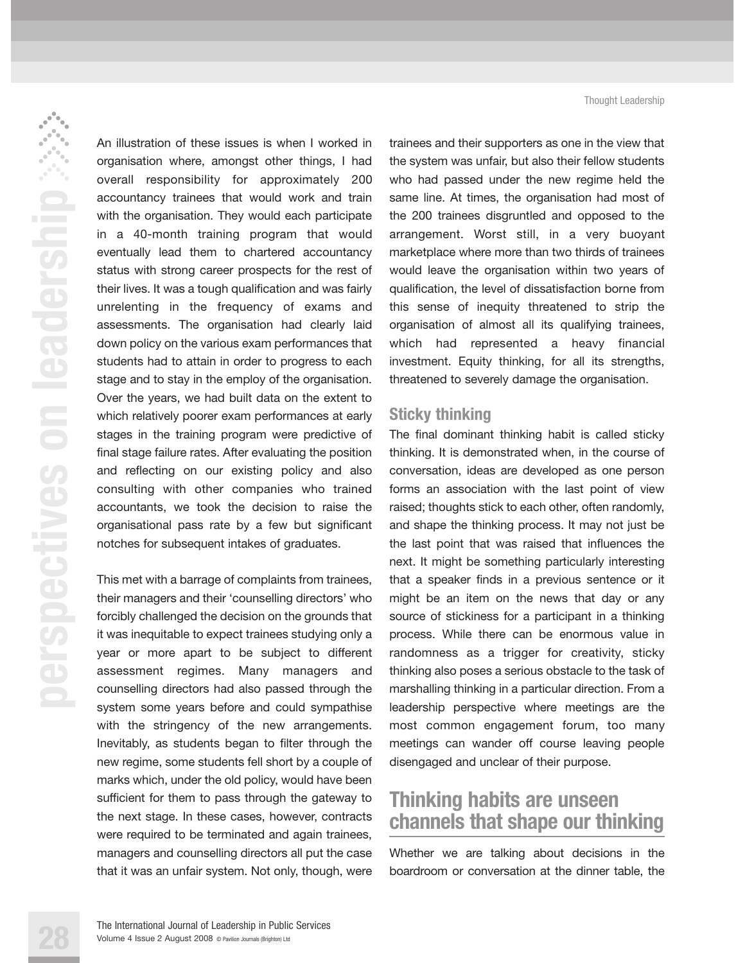accountancy trainees that would work an with the organisation. They would each particular in a 40-month training program that eventually lead them to chartered accostation their lives. It was a tough qualification and we t An illustration of these issues is when I worked in organisation where, amongst other things, I had overall responsibility for approximately 200 accountancy trainees that would work and train with the organisation. They would each participate in a 40-month training program that would eventually lead them to chartered accountancy status with strong career prospects for the rest of their lives. It was a tough qualification and was fairly unrelenting in the frequency of exams and assessments. The organisation had clearly laid down policy on the various exam performances that students had to attain in order to progress to each stage and to stay in the employ of the organisation. Over the years, we had built data on the extent to which relatively poorer exam performances at early stages in the training program were predictive of final stage failure rates. After evaluating the position and reflecting on our existing policy and also consulting with other companies who trained accountants, we took the decision to raise the organisational pass rate by a few but significant notches for subsequent intakes of graduates.

This met with a barrage of complaints from trainees, their managers and their 'counselling directors' who forcibly challenged the decision on the grounds that it was inequitable to expect trainees studying only a year or more apart to be subject to different assessment regimes. Many managers and counselling directors had also passed through the system some years before and could sympathise with the stringency of the new arrangements. Inevitably, as students began to filter through the new regime, some students fell short by a couple of marks which, under the old policy, would have been sufficient for them to pass through the gateway to the next stage. In these cases, however, contracts were required to be terminated and again trainees, managers and counselling directors all put the case that it was an unfair system. Not only, though, were

Thought Leadership

trainees and their supporters as one in the view that the system was unfair, but also their fellow students who had passed under the new regime held the same line. At times, the organisation had most of the 200 trainees disgruntled and opposed to the arrangement. Worst still, in a very buoyant marketplace where more than two thirds of trainees would leave the organisation within two years of qualification, the level of dissatisfaction borne from this sense of inequity threatened to strip the organisation of almost all its qualifying trainees, which had represented a heavy financial investment. Equity thinking, for all its strengths, threatened to severely damage the organisation.

#### **Sticky thinking**

The final dominant thinking habit is called sticky thinking. It is demonstrated when, in the course of conversation, ideas are developed as one person forms an association with the last point of view raised; thoughts stick to each other, often randomly, and shape the thinking process. It may not just be the last point that was raised that influences the next. It might be something particularly interesting that a speaker finds in a previous sentence or it might be an item on the news that day or any source of stickiness for a participant in a thinking process. While there can be enormous value in randomness as a trigger for creativity, sticky thinking also poses a serious obstacle to the task of marshalling thinking in a particular direction. From a leadership perspective where meetings are the most common engagement forum, too many meetings can wander off course leaving people disengaged and unclear of their purpose.

# **Thinking habits are unseen channels that shape our thinking**

Whether we are talking about decisions in the boardroom or conversation at the dinner table, the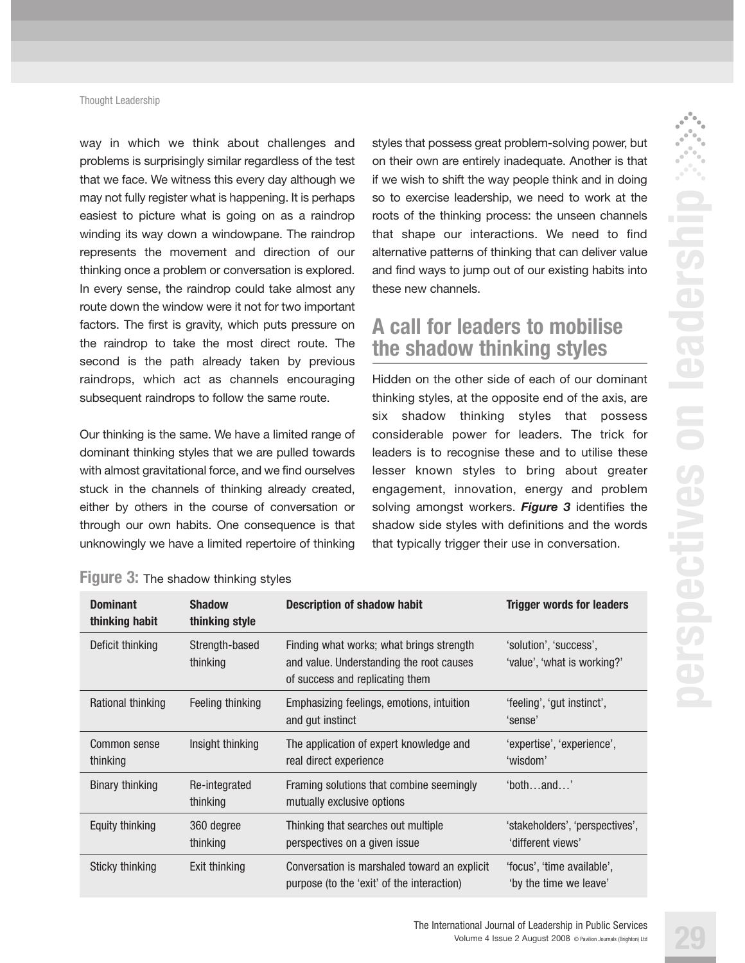way in which we think about challenges and problems is surprisingly similar regardless of the test that we face. We witness this every day although we may not fully register what is happening. It is perhaps easiest to picture what is going on as a raindrop winding its way down a windowpane. The raindrop represents the movement and direction of our thinking once a problem or conversation is explored. In every sense, the raindrop could take almost any route down the window were it not for two important factors. The first is gravity, which puts pressure on the raindrop to take the most direct route. The second is the path already taken by previous raindrops, which act as channels encouraging subsequent raindrops to follow the same route.

Our thinking is the same. We have a limited range of dominant thinking styles that we are pulled towards with almost gravitational force, and we find ourselves stuck in the channels of thinking already created, either by others in the course of conversation or through our own habits. One consequence is that unknowingly we have a limited repertoire of thinking

styles that possess great problem-solving power, but on their own are entirely inadequate. Another is that if we wish to shift the way people think and in doing so to exercise leadership, we need to work at the roots of the thinking process: the unseen channels that shape our interactions. We need to find alternative patterns of thinking that can deliver value and find ways to jump out of our existing habits into these new channels.

# **A call for leaders to mobilise the shadow thinking styles**

Hidden on the other side of each of our dominant thinking styles, at the opposite end of the axis, are six shadow thinking styles that possess considerable power for leaders. The trick for leaders is to recognise these and to utilise these lesser known styles to bring about greater engagement, innovation, energy and problem solving amongst workers. *Figure 3* identifies the shadow side styles with definitions and the words that typically trigger their use in conversation.

| <b>Dominant</b><br>thinking habit | <b>Shadow</b><br>thinking style | <b>Description of shadow habit</b>                                                                                      | <b>Trigger words for leaders</b>                      |
|-----------------------------------|---------------------------------|-------------------------------------------------------------------------------------------------------------------------|-------------------------------------------------------|
| Deficit thinking                  | Strength-based<br>thinking      | Finding what works; what brings strength<br>and value. Understanding the root causes<br>of success and replicating them | 'solution', 'success',<br>'value', 'what is working?' |
| Rational thinking                 | Feeling thinking                | Emphasizing feelings, emotions, intuition<br>and gut instinct                                                           | 'feeling', 'gut instinct',<br>'sense'                 |
| Common sense<br>thinking          | Insight thinking                | The application of expert knowledge and<br>real direct experience                                                       | 'expertise', 'experience',<br>'wisdom'                |
| Binary thinking                   | Re-integrated<br>thinking       | Framing solutions that combine seemingly<br>mutually exclusive options                                                  | 'bothand'                                             |
| Equity thinking                   | 360 degree<br>thinking          | Thinking that searches out multiple<br>perspectives on a given issue                                                    | 'stakeholders', 'perspectives',<br>'different views'  |
| Sticky thinking                   | Exit thinking                   | Conversation is marshaled toward an explicit<br>purpose (to the 'exit' of the interaction)                              | 'focus', 'time available',<br>'by the time we leave'  |

#### **Figure 3:** The shadow thinking styles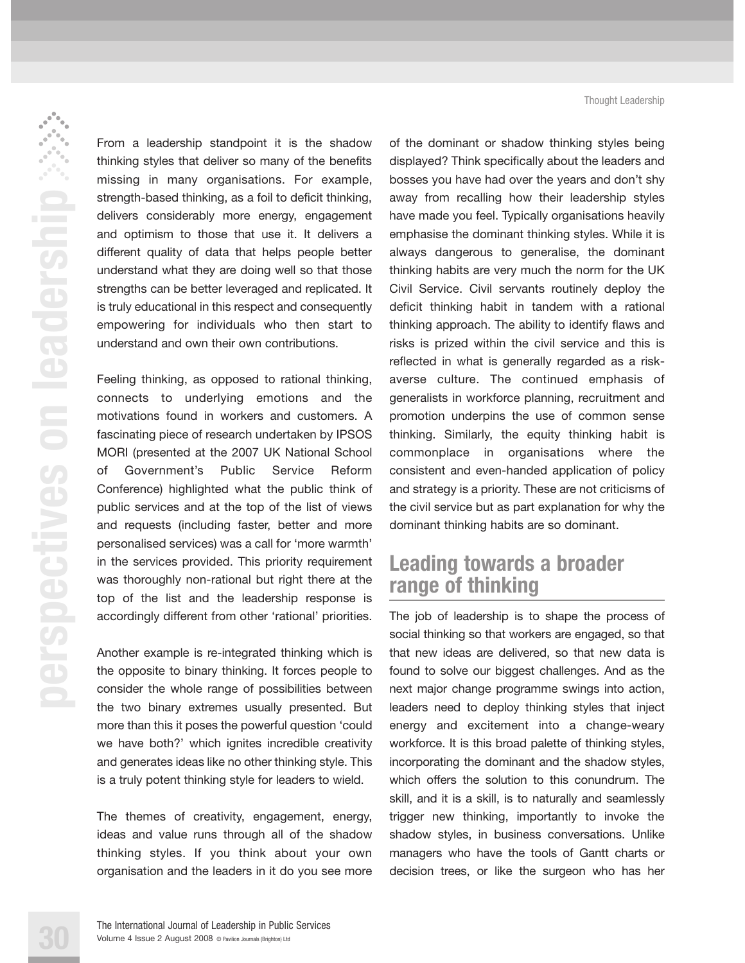From a leadership standpoint it is the shadow thinking styles that deliver so many of the benefits missing in many organisations. For example, strength-based thinking, as a foil to deficit thinking, delivers considerably more energy, engagement and optimism to those that use it. It delivers a different quality of data that helps people better understand what they are doing well so that those strengths can be better leveraged and replicated. It is truly educational in this respect and consequently empowering for individuals who then start to understand and own their own contributions.

strength-based thinking, as a foil to deficit the diverse corrollation to those that use it. It definests and obtinest that help sepople understand what they are doing well so this true different quality of data that helps Feeling thinking, as opposed to rational thinking, connects to underlying emotions and the motivations found in workers and customers. A fascinating piece of research undertaken by IPSOS MORI (presented at the 2007 UK National School of Government's Public Service Reform Conference) highlighted what the public think of public services and at the top of the list of views and requests (including faster, better and more personalised services) was a call for 'more warmth' in the services provided. This priority requirement was thoroughly non-rational but right there at the top of the list and the leadership response is accordingly different from other 'rational' priorities.

Another example is re-integrated thinking which is the opposite to binary thinking. It forces people to consider the whole range of possibilities between the two binary extremes usually presented. But more than this it poses the powerful question 'could we have both?' which ignites incredible creativity and generates ideas like no other thinking style. This is a truly potent thinking style for leaders to wield.

The themes of creativity, engagement, energy, ideas and value runs through all of the shadow thinking styles. If you think about your own organisation and the leaders in it do you see more Thought Leadership

of the dominant or shadow thinking styles being displayed? Think specifically about the leaders and bosses you have had over the years and don't shy away from recalling how their leadership styles have made you feel. Typically organisations heavily emphasise the dominant thinking styles. While it is always dangerous to generalise, the dominant thinking habits are very much the norm for the UK Civil Service. Civil servants routinely deploy the deficit thinking habit in tandem with a rational thinking approach. The ability to identify flaws and risks is prized within the civil service and this is reflected in what is generally regarded as a riskaverse culture. The continued emphasis of generalists in workforce planning, recruitment and promotion underpins the use of common sense thinking. Similarly, the equity thinking habit is commonplace in organisations where the consistent and even-handed application of policy and strategy is a priority. These are not criticisms of the civil service but as part explanation for why the dominant thinking habits are so dominant.

# **Leading towards a broader range of thinking**

The job of leadership is to shape the process of social thinking so that workers are engaged, so that that new ideas are delivered, so that new data is found to solve our biggest challenges. And as the next major change programme swings into action, leaders need to deploy thinking styles that inject energy and excitement into a change-weary workforce. It is this broad palette of thinking styles, incorporating the dominant and the shadow styles, which offers the solution to this conundrum. The skill, and it is a skill, is to naturally and seamlessly trigger new thinking, importantly to invoke the shadow styles, in business conversations. Unlike managers who have the tools of Gantt charts or decision trees, or like the surgeon who has her